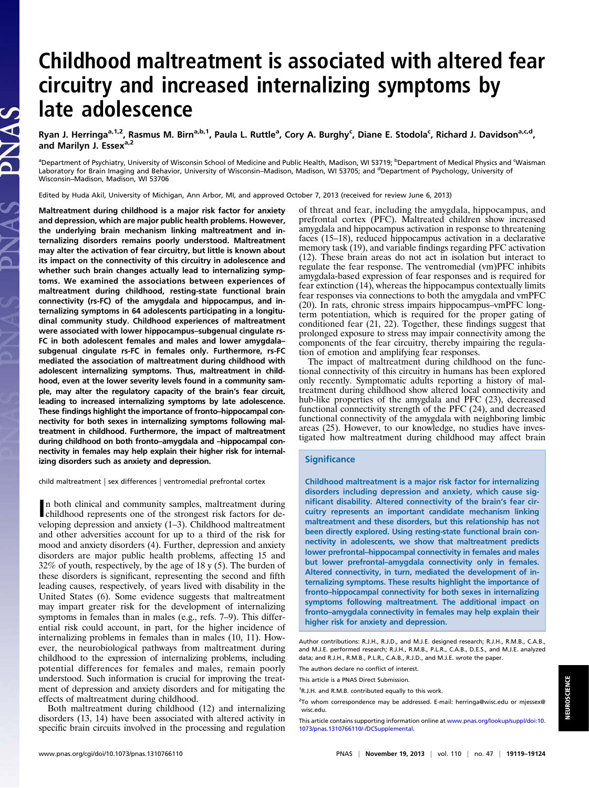# Childhood maltreatment is associated with altered fear circuitry and increased internalizing symptoms by late adolescence

Ryan J. Herringa<sup>a,1,2</sup>, Rasmus M. Birn<sup>a,b,1</sup>, Paula L. Ruttle<sup>a</sup>, Cory A. Burghy<sup>c</sup>, Diane E. Stodola<sup>c</sup>, Richard J. Davidson<sup>a,c,d</sup>, and Marilyn J. Essex<sup>a,2</sup>

<sup>a</sup>Department of Psychiatry, University of Wisconsin School of Medicine and Public Health, Madison, WI 53719; <sup>b</sup>Department of Medical Physics and <sup>c</sup>Waisman Laboratory for Brain Imaging and Behavior, University of Wisconsin–Madison, Madison, WI 53705; and <sup>d</sup>Department of Psychology, University of Wisconsin–Madison, Madison, WI 53706

Edited by Huda Akil, University of Michigan, Ann Arbor, MI, and approved October 7, 2013 (received for review June 6, 2013)

Maltreatment during childhood is a major risk factor for anxiety and depression, which are major public health problems. However, the underlying brain mechanism linking maltreatment and internalizing disorders remains poorly understood. Maltreatment may alter the activation of fear circuitry, but little is known about its impact on the connectivity of this circuitry in adolescence and whether such brain changes actually lead to internalizing symptoms. We examined the associations between experiences of maltreatment during childhood, resting-state functional brain connectivity (rs-FC) of the amygdala and hippocampus, and internalizing symptoms in 64 adolescents participating in a longitudinal community study. Childhood experiences of maltreatment were associated with lower hippocampus–subgenual cingulate rs-FC in both adolescent females and males and lower amygdala– subgenual cingulate rs-FC in females only. Furthermore, rs-FC mediated the association of maltreatment during childhood with adolescent internalizing symptoms. Thus, maltreatment in childhood, even at the lower severity levels found in a community sample, may alter the regulatory capacity of the brain's fear circuit, leading to increased internalizing symptoms by late adolescence. These findings highlight the importance of fronto–hippocampal connectivity for both sexes in internalizing symptoms following maltreatment in childhood. Furthermore, the impact of maltreatment during childhood on both fronto–amygdala and –hippocampal connectivity in females may help explain their higher risk for internalizing disorders such as anxiety and depression.

child maltreatment | sex differences | ventromedial prefrontal cortex

In both clinical and community samples, maltreatment during<br>childhood represents one of the strongest risk factors for dechildhood represents one of the strongest risk factors for developing depression and anxiety (1–3). Childhood maltreatment and other adversities account for up to a third of the risk for mood and anxiety disorders (4). Further, depression and anxiety disorders are major public health problems, affecting 15 and 32% of youth, respectively, by the age of 18 y (5). The burden of these disorders is significant, representing the second and fifth leading causes, respectively, of years lived with disability in the United States (6). Some evidence suggests that maltreatment may impart greater risk for the development of internalizing symptoms in females than in males (e.g., refs. 7–9). This differential risk could account, in part, for the higher incidence of internalizing problems in females than in males (10, 11). However, the neurobiological pathways from maltreatment during childhood to the expression of internalizing problems, including potential differences for females and males, remain poorly understood. Such information is crucial for improving the treatment of depression and anxiety disorders and for mitigating the effects of maltreatment during childhood.

Both maltreatment during childhood (12) and internalizing disorders (13, 14) have been associated with altered activity in specific brain circuits involved in the processing and regulation of threat and fear, including the amygdala, hippocampus, and prefrontal cortex (PFC). Maltreated children show increased amygdala and hippocampus activation in response to threatening faces (15–18), reduced hippocampus activation in a declarative memory task (19), and variable findings regarding PFC activation (12). These brain areas do not act in isolation but interact to regulate the fear response. The ventromedial (vm)PFC inhibits amygdala-based expression of fear responses and is required for fear extinction (14), whereas the hippocampus contextually limits fear responses via connections to both the amygdala and vmPFC (20). In rats, chronic stress impairs hippocampus–vmPFC longterm potentiation, which is required for the proper gating of conditioned fear (21, 22). Together, these findings suggest that prolonged exposure to stress may impair connectivity among the components of the fear circuitry, thereby impairing the regulation of emotion and amplifying fear responses.

The impact of maltreatment during childhood on the functional connectivity of this circuitry in humans has been explored only recently. Symptomatic adults reporting a history of maltreatment during childhood show altered local connectivity and hub-like properties of the amygdala and PFC (23), decreased functional connectivity strength of the PFC (24), and decreased functional connectivity of the amygdala with neighboring limbic areas (25). However, to our knowledge, no studies have investigated how maltreatment during childhood may affect brain

# **Significance**

Childhood maltreatment is a major risk factor for internalizing disorders including depression and anxiety, which cause significant disability. Altered connectivity of the brain's fear circuitry represents an important candidate mechanism linking maltreatment and these disorders, but this relationship has not been directly explored. Using resting-state functional brain connectivity in adolescents, we show that maltreatment predicts lower prefrontal–hippocampal connectivity in females and males but lower prefrontal–amygdala connectivity only in females. Altered connectivity, in turn, mediated the development of internalizing symptoms. These results highlight the importance of fronto–hippocampal connectivity for both sexes in internalizing symptoms following maltreatment. The additional impact on fronto–amygdala connectivity in females may help explain their higher risk for anxiety and depression.

Author contributions: R.J.H., R.J.D., and M.J.E. designed research; R.J.H., R.M.B., C.A.B., and M.J.E. performed research; R.J.H., R.M.B., P.L.R., C.A.B., D.E.S., and M.J.E. analyzed data; and R.J.H., R.M.B., P.L.R., C.A.B., R.J.D., and M.J.E. wrote the paper.

The authors declare no conflict of interest.

This article is a PNAS Direct Submission.

<sup>&</sup>lt;sup>1</sup>R.J.H. and R.M.B. contributed equally to this work.

<sup>&</sup>lt;sup>2</sup>To whom correspondence may be addressed. E-mail: [herringa@wisc.edu](mailto:herringa@wisc.edu) or [mjessex@](mailto:mjessex@wisc.edu) [wisc.edu.](mailto:mjessex@wisc.edu)

This article contains supporting information online at [www.pnas.org/lookup/suppl/doi:10.](http://www.pnas.org/lookup/suppl/doi:10.1073/pnas.1310766110/-/DCSupplemental) [1073/pnas.1310766110/-/DCSupplemental](http://www.pnas.org/lookup/suppl/doi:10.1073/pnas.1310766110/-/DCSupplemental).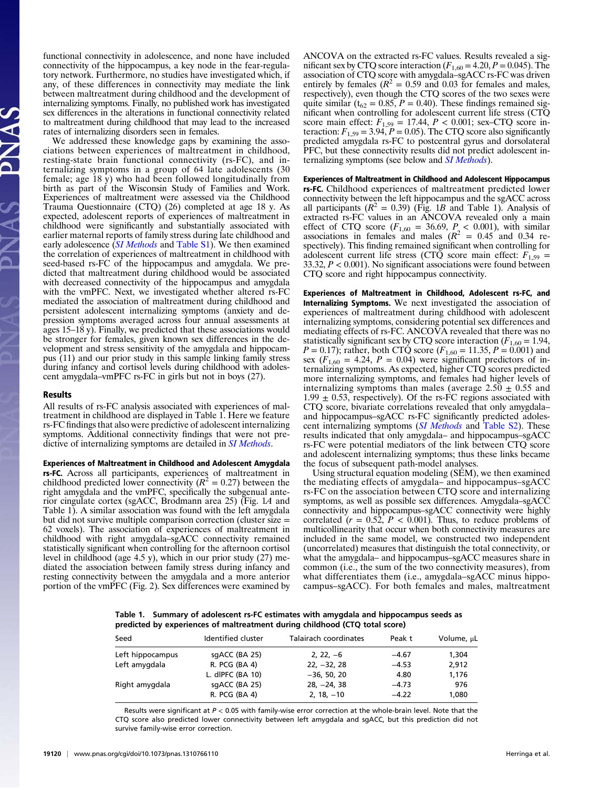functional connectivity in adolescence, and none have included connectivity of the hippocampus, a key node in the fear-regulatory network. Furthermore, no studies have investigated which, if any, of these differences in connectivity may mediate the link between maltreatment during childhood and the development of internalizing symptoms. Finally, no published work has investigated sex differences in the alterations in functional connectivity related to maltreatment during childhood that may lead to the increased rates of internalizing disorders seen in females.

We addressed these knowledge gaps by examining the associations between experiences of maltreatment in childhood, resting-state brain functional connectivity (rs-FC), and internalizing symptoms in a group of 64 late adolescents (30 female; age 18 y) who had been followed longitudinally from birth as part of the Wisconsin Study of Families and Work. Experiences of maltreatment were assessed via the Childhood Trauma Questionnaire (CTQ) (26) completed at age 18 y. As expected, adolescent reports of experiences of maltreatment in childhood were significantly and substantially associated with earlier maternal reports of family stress during late childhood and early adolescence ([SI Methods](http://www.pnas.org/lookup/suppl/doi:10.1073/pnas.1310766110/-/DCSupplemental/pnas.201310766SI.pdf?targetid=nameddest=STXT) and [Table S1\)](http://www.pnas.org/lookup/suppl/doi:10.1073/pnas.1310766110/-/DCSupplemental/pnas.201310766SI.pdf?targetid=nameddest=ST1). We then examined the correlation of experiences of maltreatment in childhood with seed-based rs-FC of the hippocampus and amygdala. We predicted that maltreatment during childhood would be associated with decreased connectivity of the hippocampus and amygdala with the vmPFC. Next, we investigated whether altered rs-FC mediated the association of maltreatment during childhood and persistent adolescent internalizing symptoms (anxiety and depression symptoms averaged across four annual assessments at ages 15–18 y). Finally, we predicted that these associations would be stronger for females, given known sex differences in the development and stress sensitivity of the amygdala and hippocampus (11) and our prior study in this sample linking family stress during infancy and cortisol levels during childhood with adolescent amygdala–vmPFC rs-FC in girls but not in boys (27).

#### Results

All results of rs-FC analysis associated with experiences of maltreatment in childhood are displayed in Table 1. Here we feature rs-FC findings that also were predictive of adolescent internalizing symptoms. Additional connectivity findings that were not predictive of internalizing symptoms are detailed in *[SI Methods](http://www.pnas.org/lookup/suppl/doi:10.1073/pnas.1310766110/-/DCSupplemental/pnas.201310766SI.pdf?targetid=nameddest=STXT)*.

### Experiences of Maltreatment in Childhood and Adolescent Amygdala

**rs-FC.** Across all participants, experiences of maltreatment in childhood predicted lower connectivity  $(R^2 = 0.27)$  between the right amygdala and the vmPFC, specifically the subgenual anterior cingulate cortex (sgACC, Brodmann area 25) (Fig. 1A and Table 1). A similar association was found with the left amygdala but did not survive multiple comparison correction (cluster size = 62 voxels). The association of experiences of maltreatment in childhood with right amygdala–sgACC connectivity remained statistically significant when controlling for the afternoon cortisol level in childhood (age 4.5 y), which in our prior study (27) mediated the association between family stress during infancy and resting connectivity between the amygdala and a more anterior portion of the vmPFC (Fig. 2). Sex differences were examined by ANCOVA on the extracted rs-FC values. Results revealed a significant sex by CTQ score interaction  $(F_{1,60} = 4.20, P = 0.045)$ . The association of CTQ score with amygdala–sgACC rs-FC was driven entirely by females ( $R^2 = 0.59$  and 0.03 for females and males, respectively), even though the CTQ scores of the two sexes were quite similar  $(t_{62} = 0.85, P = 0.40)$ . These findings remained significant when controlling for adolescent current life stress (CTQ score main effect:  $F_{1,59} = 17.44$ ,  $P < 0.001$ ; sex–CTQ score interaction:  $F_{1,59} = 3.94$ ,  $P = 0.05$ ). The CTQ score also significantly predicted amygdala rs-FC to postcentral gyrus and dorsolateral PFC, but these connectivity results did not predict adolescent internalizing symptoms (see below and *[SI Methods](http://www.pnas.org/lookup/suppl/doi:10.1073/pnas.1310766110/-/DCSupplemental/pnas.201310766SI.pdf?targetid=nameddest=STXT)*).

Experiences of Maltreatment in Childhood and Adolescent Hippocampus rs-FC. Childhood experiences of maltreatment predicted lower connectivity between the left hippocampus and the sgACC across all participants ( $R^2 = 0.39$ ) (Fig. 1B and Table 1). Analysis of extracted rs-FC values in an ANCOVA revealed only a main effect of CTQ score  $(F_{1,60} = 36.69, P_{2} < 0.001)$ , with similar associations in females and males  $(R^2 = 0.45)$  and 0.34 respectively). This finding remained significant when controlling for adolescent current life stress (CTQ score main effect:  $F_{1,59}$  = 33.32,  $P < 0.001$ ). No significant associations were found between CTQ score and right hippocampus connectivity.

Experiences of Maltreatment in Childhood, Adolescent rs-FC, and Internalizing Symptoms. We next investigated the association of experiences of maltreatment during childhood with adolescent internalizing symptoms, considering potential sex differences and mediating effects of rs-FC. ANCOVA revealed that there was no statistically significant sex by CTQ score interaction ( $F_{1,60} = 1.94$ ,  $P = 0.17$ ); rather, both CTQ score  $(F_{1,60} = 11.35, P = 0.001)$  and sex ( $F_{1,60} = 4.24$ ,  $P = 0.04$ ) were significant predictors of internalizing symptoms. As expected, higher CTQ scores predicted more internalizing symptoms, and females had higher levels of internalizing symptoms than males (average  $2.50 \pm 0.55$  and  $1.99 \pm 0.53$ , respectively). Of the rs-FC regions associated with CTQ score, bivariate correlations revealed that only amygdala– and hippocampus–sgACC rs-FC significantly predicted adoles-cent internalizing symptoms ([SI Methods](http://www.pnas.org/lookup/suppl/doi:10.1073/pnas.1310766110/-/DCSupplemental/pnas.201310766SI.pdf?targetid=nameddest=STXT) and [Table S2\)](http://www.pnas.org/lookup/suppl/doi:10.1073/pnas.1310766110/-/DCSupplemental/pnas.201310766SI.pdf?targetid=nameddest=ST2). These results indicated that only amygdala– and hippocampus–sgACC rs-FC were potential mediators of the link between CTQ score and adolescent internalizing symptoms; thus these links became the focus of subsequent path-model analyses.

Using structural equation modeling (SEM), we then examined the mediating effects of amygdala– and hippocampus–sgACC rs-FC on the association between CTQ score and internalizing symptoms, as well as possible sex differences. Amygdala–sgACC connectivity and hippocampus–sgACC connectivity were highly correlated  $(r = 0.52, P < 0.001)$ . Thus, to reduce problems of multicollinearity that occur when both connectivity measures are included in the same model, we constructed two independent (uncorrelated) measures that distinguish the total connectivity, or what the amygdala– and hippocampus–sgACC measures share in common (i.e., the sum of the two connectivity measures), from what differentiates them (i.e., amygdala–sgACC minus hippocampus–sgACC). For both females and males, maltreatment

Table 1. Summary of adolescent rs-FC estimates with amygdala and hippocampus seeds as predicted by experiences of maltreatment during childhood (CTQ total score)

| Seed             | Identified cluster | Talairach coordinates | Peak t  | Volume, µL |
|------------------|--------------------|-----------------------|---------|------------|
| Left hippocampus | sgACC (BA 25)      | $2, 22, -6$           | $-4.67$ | 1.304      |
| Left amygdala    | R. PCG (BA 4)      | $22, -32, 28$         | $-4.53$ | 2.912      |
|                  | L. dlPFC (BA 10)   | $-36, 50, 20$         | 4.80    | 1,176      |
| Right amygdala   | sqACC (BA 25)      | $28, -24, 38$         | $-4.73$ | 976        |
|                  | R. PCG (BA 4)      | $2, 18, -10$          | $-4.22$ | 1,080      |

Results were significant at  $P < 0.05$  with family-wise error correction at the whole-brain level. Note that the CTQ score also predicted lower connectivity between left amygdala and sgACC, but this prediction did not survive family-wise error correction.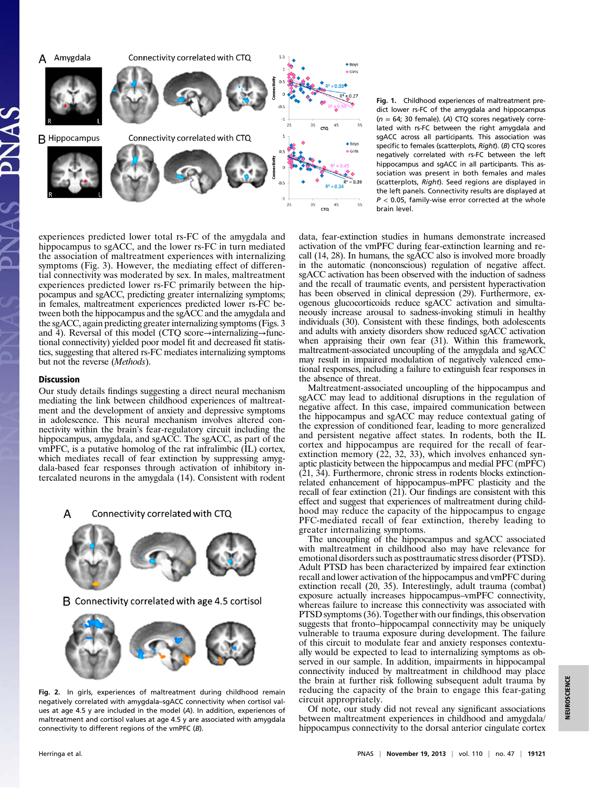

experiences predicted lower total rs-FC of the amygdala and hippocampus to sgACC, and the lower rs-FC in turn mediated the association of maltreatment experiences with internalizing symptoms (Fig. 3). However, the mediating effect of differential connectivity was moderated by sex. In males, maltreatment experiences predicted lower rs-FC primarily between the hippocampus and sgACC, predicting greater internalizing symptoms; in females, maltreatment experiences predicted lower rs-FC between both the hippocampus and the sgACC and the amygdala and the sgACC, again predicting greater internalizing symptoms (Figs. 3 and 4). Reversal of this model (CTQ score→internalizing→functional connectivity) yielded poor model fit and decreased fit statistics, suggesting that altered rs-FC mediates internalizing symptoms but not the reverse (Methods).

#### Discussion

Our study details findings suggesting a direct neural mechanism mediating the link between childhood experiences of maltreatment and the development of anxiety and depressive symptoms in adolescence. This neural mechanism involves altered connectivity within the brain's fear-regulatory circuit including the hippocampus, amygdala, and sgACC. The sgACC, as part of the vmPFC, is a putative homolog of the rat infralimbic (IL) cortex, which mediates recall of fear extinction by suppressing amygdala-based fear responses through activation of inhibitory intercalated neurons in the amygdala (14). Consistent with rodent



Fig. 2. In girls, experiences of maltreatment during childhood remain negatively correlated with amygdala–sgACC connectivity when cortisol values at age 4.5 y are included in the model (A). In addition, experiences of maltreatment and cortisol values at age 4.5 y are associated with amygdala connectivity to different regions of the vmPFC  $(B)$ .

Fig. 1. Childhood experiences of maltreatment predict lower rs-FC of the amygdala and hippocampus  $(n = 64; 30$  female). (A) CTQ scores negatively correlated with rs-FC between the right amygdala and sgACC across all participants. This association was specific to females (scatterplots, Right). (B) CTQ scores negatively correlated with rs-FC between the left hippocampus and sgACC in all participants. This association was present in both females and males (scatterplots, Right). Seed regions are displayed in the left panels. Connectivity results are displayed at  $P < 0.05$ , family-wise error corrected at the whole brain level.

data, fear-extinction studies in humans demonstrate increased activation of the vmPFC during fear-extinction learning and recall (14, 28). In humans, the sgACC also is involved more broadly in the automatic (nonconscious) regulation of negative affect. sgACC activation has been observed with the induction of sadness and the recall of traumatic events, and persistent hyperactivation has been observed in clinical depression (29). Furthermore, exogenous glucocorticoids reduce sgACC activation and simultaneously increase arousal to sadness-invoking stimuli in healthy individuals (30). Consistent with these findings, both adolescents and adults with anxiety disorders show reduced sgACC activation when appraising their own fear (31). Within this framework, maltreatment-associated uncoupling of the amygdala and sgACC may result in impaired modulation of negatively valenced emotional responses, including a failure to extinguish fear responses in the absence of threat.

Maltreatment-associated uncoupling of the hippocampus and sgACC may lead to additional disruptions in the regulation of negative affect. In this case, impaired communication between the hippocampus and sgACC may reduce contextual gating of the expression of conditioned fear, leading to more generalized and persistent negative affect states. In rodents, both the IL cortex and hippocampus are required for the recall of fearextinction memory (22, 32, 33), which involves enhanced synaptic plasticity between the hippocampus and medial PFC (mPFC) (21, 34). Furthermore, chronic stress in rodents blocks extinctionrelated enhancement of hippocampus–mPFC plasticity and the recall of fear extinction (21). Our findings are consistent with this effect and suggest that experiences of maltreatment during childhood may reduce the capacity of the hippocampus to engage PFC-mediated recall of fear extinction, thereby leading to greater internalizing symptoms.

The uncoupling of the hippocampus and sgACC associated with maltreatment in childhood also may have relevance for emotional disorders such as posttraumatic stress disorder (PTSD). Adult PTSD has been characterized by impaired fear extinction recall and lower activation of the hippocampus and vmPFC during extinction recall (20, 35). Interestingly, adult trauma (combat) exposure actually increases hippocampus–vmPFC connectivity, whereas failure to increase this connectivity was associated with PTSD symptoms (36). Together with our findings, this observation suggests that fronto–hippocampal connectivity may be uniquely vulnerable to trauma exposure during development. The failure of this circuit to modulate fear and anxiety responses contextually would be expected to lead to internalizing symptoms as observed in our sample. In addition, impairments in hippocampal connectivity induced by maltreatment in childhood may place the brain at further risk following subsequent adult trauma by reducing the capacity of the brain to engage this fear-gating circuit appropriately.

Of note, our study did not reveal any significant associations between maltreatment experiences in childhood and amygdala/ hippocampus connectivity to the dorsal anterior cingulate cortex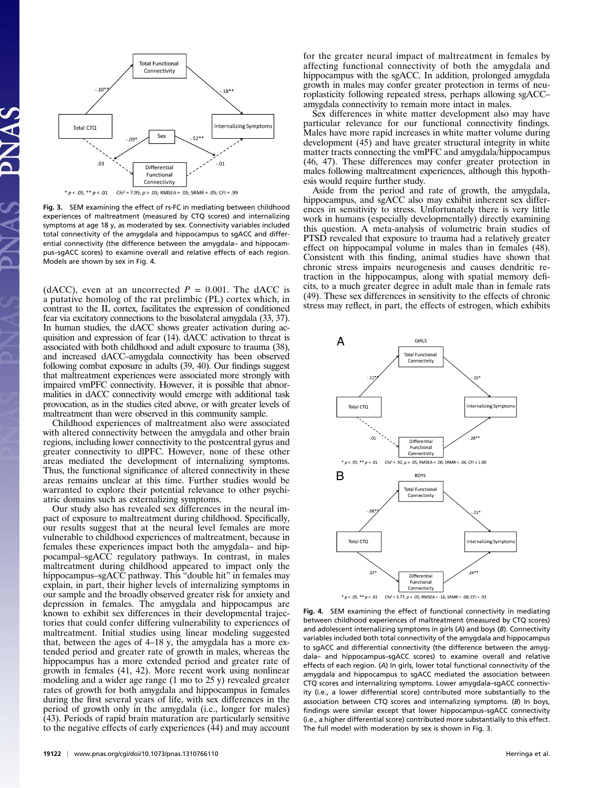

Fig. 3. SEM examining the effect of rs-FC in mediating between childhood experiences of maltreatment (measured by CTQ scores) and internalizing symptoms at age 18 y, as moderated by sex. Connectivity variables included total connectivity of the amygdala and hippocampus to sgACC and differential connectivity (the difference between the amygdala– and hippocampus–sgACC scores) to examine overall and relative effects of each region. Models are shown by sex in Fig. 4.

(dACC), even at an uncorrected  $P = 0.001$ . The dACC is a putative homolog of the rat prelimbic (PL) cortex which, in contrast to the IL cortex, facilitates the expression of conditioned fear via excitatory connections to the basolateral amygdala (33, 37). In human studies, the dACC shows greater activation during acquisition and expression of fear (14). dACC activation to threat is associated with both childhood and adult exposure to trauma (38), and increased dACC–amygdala connectivity has been observed following combat exposure in adults (39, 40). Our findings suggest that maltreatment experiences were associated more strongly with impaired vmPFC connectivity. However, it is possible that abnormalities in dACC connectivity would emerge with additional task provocation, as in the studies cited above, or with greater levels of maltreatment than were observed in this community sample.

Childhood experiences of maltreatment also were associated with altered connectivity between the amygdala and other brain regions, including lower connectivity to the postcentral gyrus and greater connectivity to dlPFC. However, none of these other areas mediated the development of internalizing symptoms. Thus, the functional significance of altered connectivity in these areas remains unclear at this time. Further studies would be warranted to explore their potential relevance to other psychiatric domains such as externalizing symptoms.

Our study also has revealed sex differences in the neural impact of exposure to maltreatment during childhood. Specifically, our results suggest that at the neural level females are more vulnerable to childhood experiences of maltreatment, because in females these experiences impact both the amygdala– and hippocampal–sgACC regulatory pathways. In contrast, in males maltreatment during childhood appeared to impact only the hippocampus–sgACC pathway. This "double hit" in females may explain, in part, their higher levels of internalizing symptoms in our sample and the broadly observed greater risk for anxiety and depression in females. The amygdala and hippocampus are known to exhibit sex differences in their developmental trajectories that could confer differing vulnerability to experiences of maltreatment. Initial studies using linear modeling suggested that, between the ages of 4–18 y, the amygdala has a more extended period and greater rate of growth in males, whereas the hippocampus has a more extended period and greater rate of growth in females (41, 42). More recent work using nonlinear modeling and a wider age range (1 mo to 25 y) revealed greater rates of growth for both amygdala and hippocampus in females during the first several years of life, with sex differences in the period of growth only in the amygdala (i.e., longer for males) (43). Periods of rapid brain maturation are particularly sensitive to the negative effects of early experiences  $(44)$  and may account

for the greater neural impact of maltreatment in females by affecting functional connectivity of both the amygdala and hippocampus with the sgACC. In addition, prolonged amygdala growth in males may confer greater protection in terms of neuroplasticity following repeated stress, perhaps allowing sgACC– amygdala connectivity to remain more intact in males.

Sex differences in white matter development also may have particular relevance for our functional connectivity findings. Males have more rapid increases in white matter volume during development (45) and have greater structural integrity in white matter tracts connecting the vmPFC and amygdala/hippocampus (46, 47). These differences may confer greater protection in males following maltreatment experiences, although this hypothesis would require further study.

Aside from the period and rate of growth, the amygdala, hippocampus, and sgACC also may exhibit inherent sex differences in sensitivity to stress. Unfortunately there is very little work in humans (especially developmentally) directly examining this question. A meta-analysis of volumetric brain studies of PTSD revealed that exposure to trauma had a relatively greater effect on hippocampal volume in males than in females (48). Consistent with this finding, animal studies have shown that chronic stress impairs neurogenesis and causes dendritic retraction in the hippocampus, along with spatial memory deficits, to a much greater degree in adult male than in female rats (49). These sex differences in sensitivity to the effects of chronic stress may reflect, in part, the effects of estrogen, which exhibits



Fig. 4. SEM examining the effect of functional connectivity in mediating between childhood experiences of maltreatment (measured by CTQ scores) and adolescent internalizing symptoms in girls (A) and boys (B). Connectivity variables included both total connectivity of the amygdala and hippocampus to sgACC and differential connectivity (the difference between the amygdala– and hippocampus–sgACC scores) to examine overall and relative effects of each region. (A) In girls, lower total functional connectivity of the amygdala and hippocampus to sgACC mediated the association between CTQ scores and internalizing symptoms. Lower amygdala–sgACC connectivity (i.e., a lower differential score) contributed more substantially to the association between CTQ scores and internalizing symptoms. (B) In boys, findings were similar except that lower hippocampus–sgACC connectivity (i.e., a higher differential score) contributed more substantially to this effect. The full model with moderation by sex is shown in Fig. 3.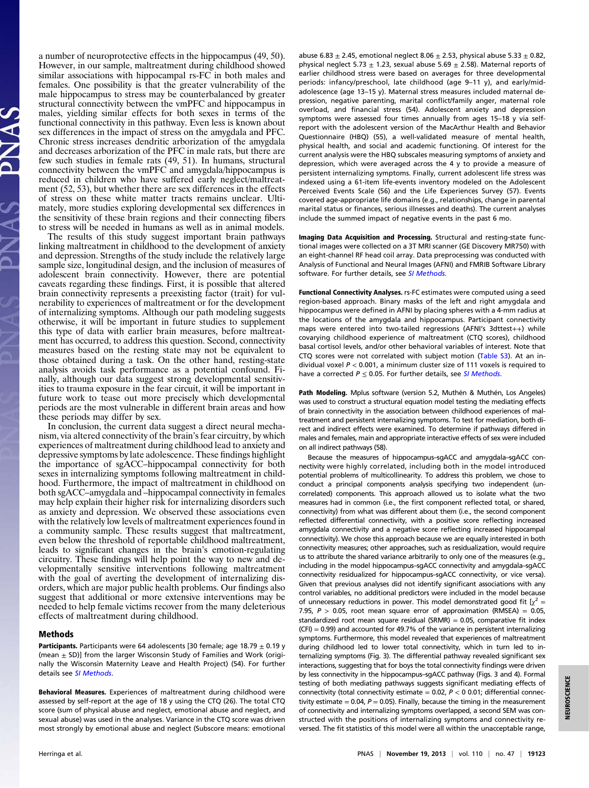a number of neuroprotective effects in the hippocampus (49, 50). However, in our sample, maltreatment during childhood showed similar associations with hippocampal rs-FC in both males and females. One possibility is that the greater vulnerability of the male hippocampus to stress may be counterbalanced by greater structural connectivity between the vmPFC and hippocampus in males, yielding similar effects for both sexes in terms of the functional connectivity in this pathway. Even less is known about sex differences in the impact of stress on the amygdala and PFC. Chronic stress increases dendritic arborization of the amygdala and decreases arborization of the PFC in male rats, but there are few such studies in female rats (49, 51). In humans, structural connectivity between the vmPFC and amygdala/hippocampus is reduced in children who have suffered early neglect/maltreatment (52, 53), but whether there are sex differences in the effects of stress on these white matter tracts remains unclear. Ultimately, more studies exploring developmental sex differences in the sensitivity of these brain regions and their connecting fibers to stress will be needed in humans as well as in animal models.

The results of this study suggest important brain pathways linking maltreatment in childhood to the development of anxiety and depression. Strengths of the study include the relatively large sample size, longitudinal design, and the inclusion of measures of adolescent brain connectivity. However, there are potential caveats regarding these findings. First, it is possible that altered brain connectivity represents a preexisting factor (trait) for vulnerability to experiences of maltreatment or for the development of internalizing symptoms. Although our path modeling suggests otherwise, it will be important in future studies to supplement this type of data with earlier brain measures, before maltreatment has occurred, to address this question. Second, connectivity measures based on the resting state may not be equivalent to those obtained during a task. On the other hand, resting-state analysis avoids task performance as a potential confound. Finally, although our data suggest strong developmental sensitivities to trauma exposure in the fear circuit, it will be important in future work to tease out more precisely which developmental periods are the most vulnerable in different brain areas and how these periods may differ by sex.

In conclusion, the current data suggest a direct neural mechanism, via altered connectivity of the brain's fear circuitry, by which experiences of maltreatment during childhood lead to anxiety and depressive symptoms by late adolescence. These findings highlight the importance of sgACC–hippocampal connectivity for both sexes in internalizing symptoms following maltreatment in childhood. Furthermore, the impact of maltreatment in childhood on both sgACC–amygdala and –hippocampal connectivity in females may help explain their higher risk for internalizing disorders such as anxiety and depression. We observed these associations even with the relatively low levels of maltreatment experiences found in a community sample. These results suggest that maltreatment, even below the threshold of reportable childhood maltreatment, leads to significant changes in the brain's emotion-regulating circuitry. These findings will help point the way to new and developmentally sensitive interventions following maltreatment with the goal of averting the development of internalizing disorders, which are major public health problems. Our findings also suggest that additional or more extensive interventions may be needed to help female victims recover from the many deleterious effects of maltreatment during childhood.

# Methods

**Participants.** Participants were 64 adolescents [30 female; age 18.79  $\pm$  0.19 y (mean  $\pm$  SD)] from the larger Wisconsin Study of Families and Work (originally the Wisconsin Maternity Leave and Health Project) (54). For further details see [SI Methods](http://www.pnas.org/lookup/suppl/doi:10.1073/pnas.1310766110/-/DCSupplemental/pnas.201310766SI.pdf?targetid=nameddest=STXT).

Behavioral Measures. Experiences of maltreatment during childhood were assessed by self-report at the age of 18 y using the CTQ (26). The total CTQ score (sum of physical abuse and neglect, emotional abuse and neglect, and sexual abuse) was used in the analyses. Variance in the CTQ score was driven most strongly by emotional abuse and neglect (Subscore means: emotional abuse 6.83  $\pm$  2.45, emotional neglect 8.06  $\pm$  2.53, physical abuse 5.33  $\pm$  0.82, physical neglect 5.73  $\pm$  1.23, sexual abuse 5.69  $\pm$  2.58). Maternal reports of earlier childhood stress were based on averages for three developmental periods: infancy/preschool, late childhood (age 9–11 y), and early/midadolescence (age 13–15 y). Maternal stress measures included maternal depression, negative parenting, marital conflict/family anger, maternal role overload, and financial stress (54). Adolescent anxiety and depression symptoms were assessed four times annually from ages 15–18 y via selfreport with the adolescent version of the MacArthur Health and Behavior Questionnaire (HBQ) (55), a well-validated measure of mental health, physical health, and social and academic functioning. Of interest for the current analysis were the HBQ subscales measuring symptoms of anxiety and depression, which were averaged across the 4 y to provide a measure of persistent internalizing symptoms. Finally, current adolescent life stress was indexed using a 61-item life-events inventory modeled on the Adolescent Perceived Events Scale (56) and the Life Experiences Survey (57). Events covered age-appropriate life domains (e.g., relationships, change in parental marital status or finances, serious illnesses and deaths). The current analyses include the summed impact of negative events in the past 6 mo.

Imaging Data Acquisition and Processing. Structural and resting-state functional images were collected on a 3T MRI scanner (GE Discovery MR750) with an eight-channel RF head coil array. Data preprocessing was conducted with Analysis of Functional and Neural Images (AFNI) and FMRIB Software Library software. For further details, see [SI Methods](http://www.pnas.org/lookup/suppl/doi:10.1073/pnas.1310766110/-/DCSupplemental/pnas.201310766SI.pdf?targetid=nameddest=STXT).

Functional Connectivity Analyses. rs-FC estimates were computed using a seed region-based approach. Binary masks of the left and right amygdala and hippocampus were defined in AFNI by placing spheres with a 4-mm radius at the locations of the amygdala and hippocampus. Participant connectivity maps were entered into two-tailed regressions (AFNI's 3dttest++) while covarying childhood experience of maltreatment (CTQ scores), childhood basal cortisol levels, and/or other behavioral variables of interest. Note that CTQ scores were not correlated with subject motion ([Table S3\)](http://www.pnas.org/lookup/suppl/doi:10.1073/pnas.1310766110/-/DCSupplemental/pnas.201310766SI.pdf?targetid=nameddest=ST3). At an individual voxel  $P < 0.001$ , a minimum cluster size of 111 voxels is required to have a corrected  $P \le 0.05$ . For further details, see [SI Methods](http://www.pnas.org/lookup/suppl/doi:10.1073/pnas.1310766110/-/DCSupplemental/pnas.201310766SI.pdf?targetid=nameddest=STXT).

Path Modeling. Mplus software (version 5.2, Muthén & Muthén, Los Angeles) was used to construct a structural equation model testing the mediating effects of brain connectivity in the association between childhood experiences of maltreatment and persistent internalizing symptoms. To test for mediation, both direct and indirect effects were examined. To determine if pathways differed in males and females, main and appropriate interactive effects of sex were included on all indirect pathways (58).

Because the measures of hippocampus–sgACC and amygdala–sgACC connectivity were highly correlated, including both in the model introduced potential problems of multicollinearity. To address this problem, we chose to conduct a principal components analysis specifying two independent (uncorrelated) components. This approach allowed us to isolate what the two measures had in common (i.e., the first component reflected total, or shared, connectivity) from what was different about them (i.e., the second component reflected differential connectivity, with a positive score reflecting increased amygdala connectivity and a negative score reflecting increased hippocampal connectivity). We chose this approach because we are equally interested in both connectivity measures; other approaches, such as residualization, would require us to attribute the shared variance arbitrarily to only one of the measures (e.g., including in the model hippocampus–sgACC connectivity and amygdala–sgACC connectivity residualized for hippocampus–sgACC connectivity, or vice versa). Given that previous analyses did not identify significant associations with any control variables, no additional predictors were included in the model because of unnecessary reductions in power. This model demonstrated good fit  $[\chi^2 =$ 7.95,  $P > 0.05$ , root mean square error of approximation (RMSEA) = 0.05, standardized root mean square residual (SRMR) =  $0.05$ , comparative fit index  $(CFI) = 0.99$ ) and accounted for 49.7% of the variance in persistent internalizing symptoms. Furthermore, this model revealed that experiences of maltreatment during childhood led to lower total connectivity, which in turn led to internalizing symptoms (Fig. 3). The differential pathway revealed significant sex interactions, suggesting that for boys the total connectivity findings were driven by less connectivity in the hippocampus–sgACC pathway (Figs. 3 and 4). Formal testing of both mediating pathways suggests significant mediating effects of connectivity (total connectivity estimate = 0.02,  $P < 0$  0.01; differential connectivity estimate = 0.04,  $P = 0.05$ ). Finally, because the timing in the measurement of connectivity and internalizing symptoms overlapped, a second SEM was constructed with the positions of internalizing symptoms and connectivity reversed. The fit statistics of this model were all within the unacceptable range,